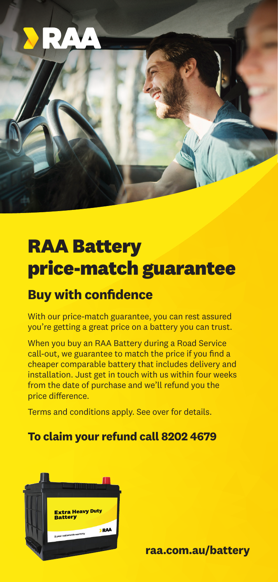

## **RAA Battery price-match guarantee**

### **Buy with confidence**

With our price-match guarantee, you can rest assured you're getting a great price on a battery you can trust.

When you buy an RAA Battery during a Road Service call-out, we guarantee to match the price if you find a cheaper comparable battery that includes delivery and installation. Just get in touch with us within four weeks from the date of purchase and we'll refund you the price difference.

Terms and conditions apply. See over for details.

### **To claim your refund call 8202 4679**



**raa.com.au/battery**